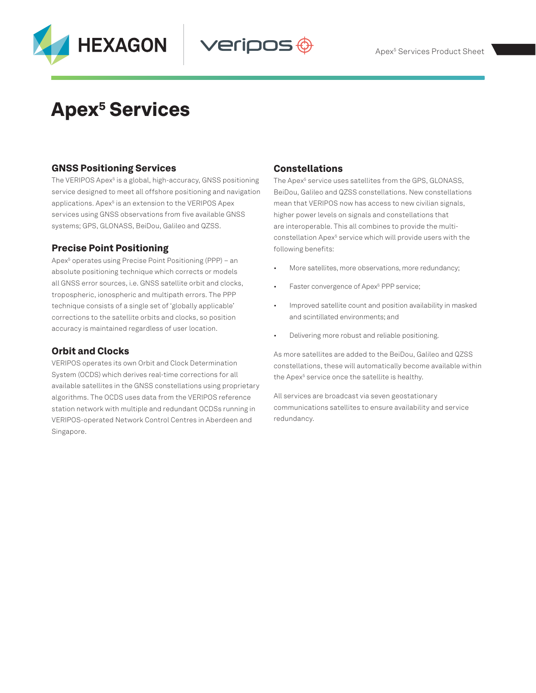

# **Apex<sup>5</sup> Services**

## GNSS Positioning Services

The VERIPOS Apex<sup>5</sup> is a global, high-accuracy, GNSS positioning service designed to meet all offshore positioning and navigation applications. Apex<sup>5</sup> is an extension to the VERIPOS Apex services using GNSS observations from five available GNSS systems; GPS, GLONASS, BeiDou, Galileo and QZSS.

## Precise Point Positioning

Apex<sup>5</sup> operates using Precise Point Positioning (PPP) – an absolute positioning technique which corrects or models all GNSS error sources, i.e. GNSS satellite orbit and clocks, tropospheric, ionospheric and multipath errors. The PPP technique consists of a single set of 'globally applicable' corrections to the satellite orbits and clocks, so position accuracy is maintained regardless of user location.

## Orbit and Clocks

VERIPOS operates its own Orbit and Clock Determination System (OCDS) which derives real-time corrections for all available satellites in the GNSS constellations using proprietary algorithms. The OCDS uses data from the VERIPOS reference station network with multiple and redundant OCDSs running in VERIPOS-operated Network Control Centres in Aberdeen and Singapore.

## Constellations

veripos <del>(</del>

The Apex<sup>5</sup> service uses satellites from the GPS, GLONASS, BeiDou, Galileo and QZSS constellations. New constellations mean that VERIPOS now has access to new civilian signals, higher power levels on signals and constellations that are interoperable. This all combines to provide the multiconstellation Apex<sup>5</sup> service which will provide users with the following benefits:

- More satellites, more observations, more redundancy;
- Faster convergence of Apex<sup>5</sup> PPP service;
- Improved satellite count and position availability in masked and scintillated environments; and
- Delivering more robust and reliable positioning.

As more satellites are added to the BeiDou, Galileo and QZSS constellations, these will automatically become available within the Apex<sup>s</sup> service once the satellite is healthy.

All services are broadcast via seven geostationary communications satellites to ensure availability and service redundancy.